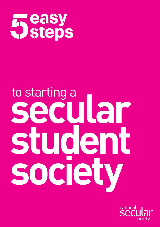

# **secular student society** to starting a

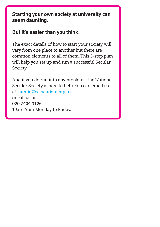# **Starting your own society at university can seem daunting.**

# **But it's easier than you think.**

The exact details of how to start your society will vary from one place to another but there are common elements to all of them.This 5-step plan will help you set up and run a successful Secular Society.

And if you do run into any problems, the National Secular Society is here to help.You can email us at: **admin@secularism.org.uk** or call us on **020 7404 3126** 10am-5pm Monday to Friday.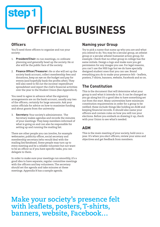# **step1 OFFICIAL BUSINESS**

# **Officers**

You'll need three officers to organise and run your society:

- 1. **President/Chair:** to run meetings, co-ordinate planning and generally head up the society. He or she will be the public face of the society.
- 2. **Finance Officer/Treasurer:** He or she will set up the society bank account, collect membership fees and donations, keep an eye on the budget and pay for events (and hopefully bank the profits after).They will also need to fill out the income/ expenditure spreadsheet and report the club's financial activities over the year to the Student Union (See Appendix A).

You need to agree in advance what the signatory arrangements are on the bank account, usually any two of the officers, certainly for large amounts. Ask your union officials for advice on how to maximise funding and about grants from the university

3. **Secretary:** Your society's administrator. The Secretary makes agendas and records the minutes of your meetings.They keep members informed of what is going on and can also be responsible for setting up and running the mailing list.

There are other people you can involve, for example webmaster, publicity officer, social secretary and membership secretary (who would deal with the mailing list/database). Some people may turn up to every meeting and be a reliable volunteer but not want to be an officer so if you have specific tasks, you can delegate to them.

In order to make sure your meetings run smoothly, it's a good idea to have separate, regular committee meetings with the officers and key volunteers.The secretary should set the agenda and take minutes at these meetings. Appendix B has a sample agenda.

## **Naming your Group**

Try to pick a name that sums up who you are and what you intend to do.You may be a secular group, an atheist group or a secular atheist humanist action group, for example. Check that no other group in college has the same initials. Design a logo and make sure you get permission for any images you use. For legal reasons, you can't use the NSS logo but we do have specially designed student ones that you can use. Brand everything you do to make your presence felt – leaflets, posters,T-shirts, banners, website, Facebook and so on.

# **The Constitution**

This is the document that will determine what your group is and what it intends to do. It can be changed as you go along but it's a good idea to have something set out from the start. Many universities have minimum constitution requirements in order for a group to be ratified; these include things like holding an AGM and keeping financial records. It should also name your officers and contain rules on how you will run your elections. Before you embark on drawing it up, check with your Union to see what's needed.

# **AGM**

This is the main meeting of your society, held once a year. It's when you elect officers, review your aims and objectives and get feedback from members.

**Make your society's presence felt with leaflets, posters,T-shirts, banners, website, Facebook…**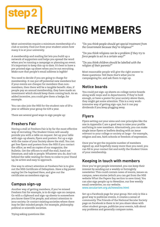# **step2 RECRUITING MEMBERS**

Most universities require a minimum membership of a club or society. Find out from your student union how many it is at your university.

A membership and mailing list lets you build up a network of supporters and helps you spread the word when you're running a campaign or planning an event. It's important to keep this up to date. It's best to have a pre-printed sign-up sheet when you're out recruiting. Make sure that people's email address is legible!

You need to decide if you are going to charge for membership. It can put off potential new members but if your events are cheaper for members than nonmembers, then there will be a tangible benefit. Also, if people pay an annual membership, they have made an investment which should keep them coming back. As an added incentive, you could give them a badge, for example.

You can also join the NSS for the student rate of £9 a year or affiliate your group for £29 a year.

There are several good ways to sign people up:

# **Freshers Fair**

Having a stall at Freshers Fair is by far the most effective way of recruiting.The Student Union will usually provide you with a table on request. Set up your table with sign-up sheets, flyers and posters. Put up a sign with the name of your Society above the stall.You can get free flyers and posters from the NSS if you contact the office, as well as copies of our magazine, the Bulletin. Get the officers to staff the stall, hand out literature, and talk to people.Whatever you do, don't sit behind the table waiting for them to come to you! Stand up, be active and easy to approach.

One way to attract attention at Freshers Fair is to give out the NSS Certificate of Debaptism. Have a big poster saying Get De-baptised Here, and give out the certificates as members sign up.

# **Campus sign-up**

Another way of getting members, if you've missed Freshers Fair for example, is to do sign-ups on campus. Go with a clipboard and sign-up sheets to somewhere you know there'll be people, and attract attention to your society. Or contact existing societies where there may be like-minded people. For example, philosophy. political or scientific societies.

*"Do you think people should get special treatment from the Government because they're religious?"*

*"Do you think religions can be a problem if they try to force people to act in a certain way?"*

*"Do you think children should be labelled with the religion of their parents?"*

Most reasonable people will give the right answer to these questions.Tell them that's what you're campaigning for, and ask them to sign up.

# **Notice boards**

You could put sign-up sheets on college notice boards along walk-ways and in departments. If they're bold enough, or have a poster for your society above them, they might get some attention.This is a very workintensive way of getting sign-ups, but it can pay dividends if you keep plugging away.

# **Flyers**

Flyers setting out your aims and core principles like the one in Appendix C are a good way to raise your profile and bring in new members. Alternatively, you can make single issue flyers or leaflets dealing with an issue relevant to your college or society at large – for example, religion and sex, faith schools or freedom of expression.

Once you've got the requisite number of members signed up, and hopefully many more than you need, you can fill in your contact list and notify the Student Union of your membership.

# **Keeping in touch with members**

Once you've got people interested, you can keep their interest by sending out a weekly or fortnightly newsletter.This could contain news of events, issues on campus, news stories (which you can get from the NSS website What the Papers Say section to save time).You can also sign people up to Newsline, our free weekly email newsletter, on our website. www.secularism.org.uk/newsline.html

Set up a Facebook page for your group. Not only is this a good way to publicize events, it creates a sense of community.The Friends of the National Secular Society page on Facebook is there to let you share ideas with other student groups, publicize your events, talk about any problems and generally compare notes.

Trying asking questions like: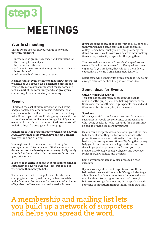

# **Your first meeting**

This is where you lay out your wares to new and potential members.

- Introduce the group, its purpose and your plans for the coming term and year.
- Introduce the officers.
- talk about the movement your group is part of what is secularism?
- Ask for feedback from everyone there.

It's important at every meeting to make newcomers feel welcome so you could have a designated meeter and greeter.This serves two purposes; it makes someone feel like part of the community and also gives you a chance to get their details for your mailing list.

## **Events**

Check out the cost of room hire, stationery, buying badges, posters and other necessities. Generally, oncampus room hire will be free, but it's worth checking – ask a Union rep about this. Printing may cost as little as 1p per sheet of A4 but if you are doing a lot of flyers or event publicity, this can mount up. Stationery costs will include things like postage and packaging.

Remember to keep good control of events, especially the AGM. Always make sure events have at least 2 officers involved, and one chairing.

You might want to think about event timing. For example, some Universities have Wednesday as a halfday – events on Wednesday evening are typically poorly attended at these Universities, because students have gone off campus.

If you need material to hand out at meetings to explain secularism or advertise the NSS – feel free to ask us – we're more than happy to help.

If you have decided to charge for membership, or are charging for an event, make sure you have a cash box and a float near the door – and someone to take charge of it, either theTreasurer or a designated volunteer.

If you are going to buy badges etc from the NSS to re-sell then you will need some capital to cover the initial outlay. Decide how much you are going to charge for items.You will have to cover your costs without making items so expensive it puts people off buying them.

The two main expenses will probably be speakers and events.You will normally need to offer speakers travel expenses (if you are lucky, they will turn them down, especially if they are from a large organisation).

Event costs will be mostly for drinks and food.Try doing a rough estimate per head to give you some idea.

# **Some Ideas for Events**

#### **Grill an Atheist/Secularist**

This one has proven really popular in the past. It involves setting up a panel and fielding questions on Secularism and/or Atheism. It gets people involved and it's non-confrontational, despite the name.

#### **Speakers**

It's always useful to hold a lecture on secularism, or a secular issue. People are sometimes confused about what being secular is – what it stands for.The NSS may be able to provide speakers in your area.

Or you could ask professors and staff at your University to talk about what they do. Part of secularism is the promotion of science and rationalism. Learning the basics of, for example, evolution or Big Bang theory may help you in debates. A talk on logic and spotting the flaws in people's arguments could stand you in good stead too.Try biology, zoology, physics, anthropology, philosophy, law, politics and theology.

Some of your members may also prove to be good speakers.

If you book a speaker, don't forget to confirm the week before that they are still available. It's a good idea to get a landline and mobile number from them as well as an email address. Some organisers even call the night before or morning of the meeting. If the speaker needs someone to meet them from a station, make sure that

# **A membership and mailing list lets you build up a network of supporters and helps you spread the word.**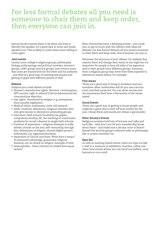# **For less formal debates all you need is someone to chair them and keep order, then everyone can join in.**

person knows exactly when to be there and how to identify the speaker. It's a good idea to write and thank speakers too.This is likely to make them more willing to come again.

#### **Joint events**

Contact your college's religious groups, philosophy, biology, anthropology and political societies, women's groups, LGBT groups and law groups. Joint events mean that costs are shared both for the event and for publicity - and they're a good way of meeting new people and getting to grips with different points of view.

#### **Debates**

Subjects you could debate include:

- Women's reproductive rights: Abortion, contraception, HPV vaccine, right to referral if doctor/pharmacist has conscientious objection.
- Gay rights: threatened by religion, e.g. exemptions from equality legislation.
- Medical ethics: euthanasia, stem cell research
- AIDS: condoms, abstinence, religious charities who only give money to abstinence-promoting groups.
- Education: faith schools funded by tax payers, compulsory worship, RE, the teaching of creationism, problems for social cohesion in single faith schools.
- Freedom of expression religious attempts to stifle debate, attacks on the arts, self-censorship through fear, defamation of religion, Human Rights protect individuals, not organisations/ideas.
- Separation of Church and State: What does it mean? To everyone's advantage, guarantees religious freedom, not an attack on religion. Example of USA.
- Islamophobia Does criticism of a belief does equal racism?

Most Universities have a debating society – you could join, or get in touch with the officers with ideas for debates. For less formal debates all you need is someone to chair them and keep order, then everyone can join in.

Whatever the structure of your debate, it's unlikely that anyone there will change their mind on the night but it's important for people to hear all sides of an argument and to meet people from different groups. Someone from a religious group may never have been exposed to atheists en masse before, for example.

#### **Film shows**

These are a good way to bring in members and nonmembers. Most universities will let you use a lecture room and their projector.You can show movies and documentaries then have a discussion of the issues raised.

#### **Social Events**

These are a good way of getting to know people, and might be a great idea to kick-off your society for the year. Cheap drink and snacks are always a good puller.

#### **Other Society's Events**

Religious societies hold lots of lectures and talks and such like – why don't you let your membership know about them – and make sure a secular voice is heard? Spread the word by going to relevant talks in philosophy, law or science societies too.

#### **Days Out**

As well as meeting-based events, there are trips out like a visit to a museum or exhibition, marches, rallies and other local events where you can hand out leaflets, carry banners or run a stall.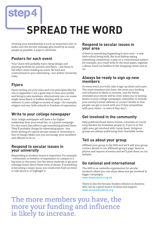# **step4 SPREAD THE WORD**

Growing your membership is such an important aim, to make sure the secular message gets heard by as many people as possible. It pays to advertise.

# **Posters for each event**

Your Union will probably have cheap design and printing facilities for posters and flyers – use them to full effect when holding an event. Be bold and controversial in your advertising – but within University rules.

# **Flyers**

Flyers setting out your aims and core principles like the one in Appendix C are a good way to raise your profile and bring in new members. Alternatively, you can make single issue flyers or leaflets dealing with an issue relevant to your college or society at large – for example, religion and sex, faith schools or freedom of expression.

# **Write to your college newspaper**

Your college newspaper will have a far higher readership than your email list, or a poster campaign. It's also much less effort to get something printed there. They'll probably charge for advertising space – but letter-writing on topical secular issues at University is free of charge. Make sure you encourage your members and officers to do so.

### **Respond to secular issues in your university**

Responding to student issues is important. For example – extremism or freedom of expression on campus is a big issue in the press. Use the above methods to get your message heard about these sorts of issues. If something is becoming a major issue, you could even hold an event to talk about it, or highlight it.

### **Respond to secular issues in your area**

If there is something happening in your area – a new faith school being built, the local bishop saying something contentious, a play on a controversial subject for example, you could write to the local paper, organise a demo, hand out leaflets in the shopping centre and so on.

### **Always be ready to sign up new members**

At every event you hold, take a sign-up sheet and a pen. The more members you have, the more your funding and influence is likely to increase, and the better attended your events will be. Even when you're writing letters to your college newspaper, remember to include your society's email address or contact details so that people can get in touch with you if they sympathise with your views – or even if they don't.

# **Get involved in the community**

Help publicize blood-donor events, volunteer at a local soup kitchen for homeless people or, if you're in the right area, get involved with Camp Quest. Religious groups are always publicizing their charitable works.

# **Tell us about your group**

Affiliate your group to the NSS and we'll add your group contact details to our affiliated group's page. Send us photos and reports of events and we'll post them on our website.

# **Go national and international**

The AHS is an umbrella organisation for secular students where you can share ideas and get involved in bigger campaigns.

www.ahsstudents.org.uk

There is also the Secular Student Alliance in America who can be a good source of ideas and support. www.secularstudents.org

**The more members you have, the more your funding and influence is likely to increase.**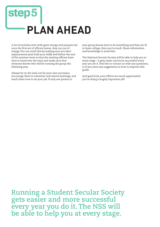# **step PLAN AHEAD**

A lot of societies start with great energy and purpose but once the first set of officers leaves, they run out of energy.You can avoid this by making sure you elect replacements (and hold your AGM) well before the end of the summer term so that the existing officers have time to hand over the reins and make sure that everyone knows who will be running the group the following year.

Always be on the look-out for your own successor, encourage them to volunteer and attend meetings, and teach them how to do your job. If only one person in

your group knows how to do something and they are ill or leave college, then you're stuck. Share information and knowledge to avoid this.

The National Secular Society will be able to help you at every stage – it gets easier and more successful every year you do it. Feel free to contact us with any questions, or if you have any suggestions to how to improve this guide.

And good luck, your efforts are much appreciated; you're doing a hugely important job!

**Running a Student Secular Society gets easier and more successful every year you do it.The NSS will be able to help you at every stage.**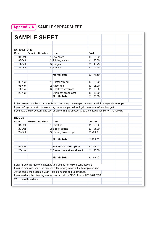# **Appendix A SAMPLE SPREADSHEET**

|                    | <b>SAMPLE SHEET</b>    |                                                                                                                                                                                                                                                                                                                       |          |       |  |  |  |  |
|--------------------|------------------------|-----------------------------------------------------------------------------------------------------------------------------------------------------------------------------------------------------------------------------------------------------------------------------------------------------------------------|----------|-------|--|--|--|--|
|                    |                        |                                                                                                                                                                                                                                                                                                                       |          |       |  |  |  |  |
| <b>EXPENDITURE</b> |                        |                                                                                                                                                                                                                                                                                                                       |          |       |  |  |  |  |
| <b>Date</b>        | Receipt Number         | l te m                                                                                                                                                                                                                                                                                                                | Cost     |       |  |  |  |  |
| $04-Oct$           |                        | 1 Stationery                                                                                                                                                                                                                                                                                                          | £        | 9.99  |  |  |  |  |
| $07-Oct$           |                        | 2 Printing leaflets                                                                                                                                                                                                                                                                                                   | £        | 40.50 |  |  |  |  |
| 14-Oct             |                        | 3 Badges                                                                                                                                                                                                                                                                                                              | £        | 15.75 |  |  |  |  |
| $27-Oct$           |                        | 4 Stamps                                                                                                                                                                                                                                                                                                              | £        | 5.45  |  |  |  |  |
|                    |                        | <b>Month Total</b>                                                                                                                                                                                                                                                                                                    | £        | 71.69 |  |  |  |  |
| 03-Nov             |                        | 1 Poster printing                                                                                                                                                                                                                                                                                                     | £        | 20.00 |  |  |  |  |
| 08-Nov             |                        | 2 Room hire                                                                                                                                                                                                                                                                                                           | £        | 25.00 |  |  |  |  |
| 11-Nov             |                        | 3 Speaker's expenses                                                                                                                                                                                                                                                                                                  | £        | 35.00 |  |  |  |  |
| 22-Nov             |                        | 4 Drinks for social event                                                                                                                                                                                                                                                                                             | £        | 60.00 |  |  |  |  |
|                    |                        | <b>Month Total</b>                                                                                                                                                                                                                                                                                                    | £        | 80.00 |  |  |  |  |
|                    |                        |                                                                                                                                                                                                                                                                                                                       |          |       |  |  |  |  |
|                    |                        | Notes: Always number your receipts in order. Keep the receipts for each month in a separate envelope.<br>If you can't get a receipt for something, write one yourself and get one of your officers to sign it.<br>If you have a bank account and pay for something by cheque, write the cheque number on the receipt. |          |       |  |  |  |  |
| <b>INCOME</b>      |                        |                                                                                                                                                                                                                                                                                                                       |          |       |  |  |  |  |
| <b>Date</b>        | Receipt Number         | <b>I</b> tem                                                                                                                                                                                                                                                                                                          | Amount   |       |  |  |  |  |
| 04-Oct             |                        | 1 Donation                                                                                                                                                                                                                                                                                                            | £        | 50.00 |  |  |  |  |
| $20$ -Oct          |                        | 2 Sale of badges                                                                                                                                                                                                                                                                                                      | £        | 25.00 |  |  |  |  |
| $22$ -Oct          |                        | 3 Funding from college                                                                                                                                                                                                                                                                                                | £ 200.00 |       |  |  |  |  |
|                    |                        | <b>Month Total</b>                                                                                                                                                                                                                                                                                                    | £ 275.00 |       |  |  |  |  |
| 05-Nov             |                        |                                                                                                                                                                                                                                                                                                                       | £ 100.00 |       |  |  |  |  |
| 23-Nov             |                        | 1 Membership subscriptions<br>2 Sale of drinks at social event                                                                                                                                                                                                                                                        | £        | 90.00 |  |  |  |  |
|                    |                        |                                                                                                                                                                                                                                                                                                                       |          |       |  |  |  |  |
|                    |                        | <b>Month Total</b>                                                                                                                                                                                                                                                                                                    | £ 190.00 |       |  |  |  |  |
|                    |                        | Notes: Keep the money in a locked tin if you do not have a bank account.                                                                                                                                                                                                                                              |          |       |  |  |  |  |
|                    |                        | If you do have one, write the number of the paying-in slip in the Receipts column.                                                                                                                                                                                                                                    |          |       |  |  |  |  |
|                    |                        | At the end of the academic year. Total up Income and Expenditure.                                                                                                                                                                                                                                                     |          |       |  |  |  |  |
|                    | Write everything down! | If you need any help keeping your accounts, call the NSS office on 020 7404 3126.                                                                                                                                                                                                                                     |          |       |  |  |  |  |